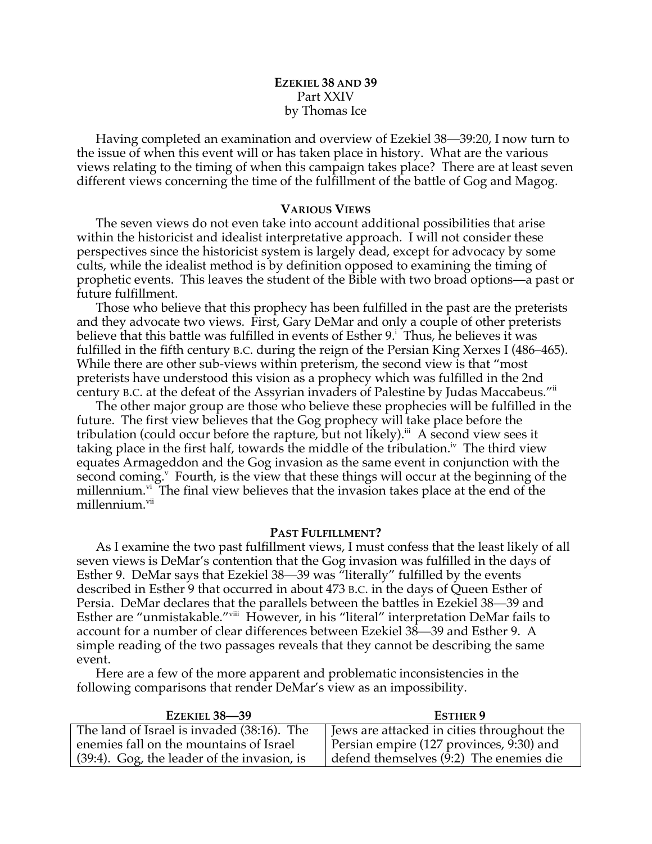# **EZEKIEL 38 AND 39** Part XXIV by Thomas Ice

Having completed an examination and overview of Ezekiel 38—39:20, I now turn to the issue of when this event will or has taken place in history. What are the various views relating to the timing of when this campaign takes place? There are at least seven different views concerning the time of the fulfillment of the battle of Gog and Magog.

## **VARIOUS VIEWS**

The seven views do not even take into account additional possibilities that arise within the historicist and idealist interpretative approach. I will not consider these perspectives since the historicist system is largely dead, except for advocacy by some cults, while the idealist method is by definition opposed to examining the timing of prophetic events. This leaves the student of the Bible with two broad options—a past or future fulfillment.

Those who believe that this prophecy has been fulfilled in the past are the preterists and they advocate two views. First, Gary DeMar and only a couple of other preterists believe that this battle was fulfilled in events of Esther 9.<sup>i</sup> Thus, he believes it was fulfilled in the fifth century B.C. during the reign of the Persian King Xerxes I (486–465). While there are other sub-views within preterism, the second view is that "most preterists have understood this vision as a prophecy which was fulfilled in the 2nd century B.C. at the defeat of the Assyrian invaders of Palestine by Judas Maccabeus."ii

The other major group are those who believe these prophecies will be fulfilled in the future. The first view believes that the Gog prophecy will take place before the tribulation (could occur before the rapture, but not likely).<sup>iii</sup> A second view sees it taking place in the first half, towards the middle of the tribulation.<sup>iv</sup> The third view equates Armageddon and the Gog invasion as the same event in conjunction with the second coming. $v$  Fourth, is the view that these things will occur at the beginning of the millennium. $v<sup>i</sup>$  The final view believes that the invasion takes place at the end of the millennium.<sup>vii</sup>

# **PAST FULFILLMENT?**

As I examine the two past fulfillment views, I must confess that the least likely of all seven views is DeMar's contention that the Gog invasion was fulfilled in the days of Esther 9. DeMar says that Ezekiel 38—39 was "literally" fulfilled by the events described in Esther 9 that occurred in about 473 B.C. in the days of Queen Esther of Persia. DeMar declares that the parallels between the battles in Ezekiel 38—39 and Esther are "unmistakable."<sup>viii</sup> However, in his "literal" interpretation DeMar fails to account for a number of clear differences between Ezekiel 38—39 and Esther 9. A simple reading of the two passages reveals that they cannot be describing the same event.

Here are a few of the more apparent and problematic inconsistencies in the following comparisons that render DeMar's view as an impossibility.

| <b>EZEKIEL 38-39</b>                           | <b>ESTHER 9</b>                              |
|------------------------------------------------|----------------------------------------------|
| The land of Israel is invaded (38:16). The     | I Jews are attacked in cities throughout the |
| enemies fall on the mountains of Israel        | Persian empire (127 provinces, 9:30) and     |
| $(39:4)$ . Gog, the leader of the invasion, is | defend themselves $(9:2)$ The enemies die    |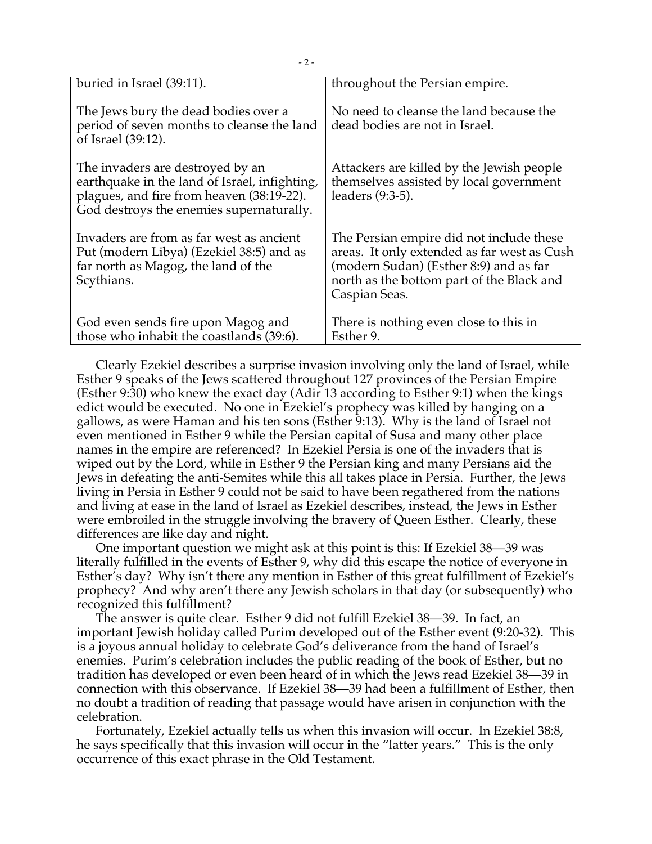| buried in Israel (39:11).                                                                                                                                                  | throughout the Persian empire.                                                                                                                                                                  |
|----------------------------------------------------------------------------------------------------------------------------------------------------------------------------|-------------------------------------------------------------------------------------------------------------------------------------------------------------------------------------------------|
| The Jews bury the dead bodies over a<br>period of seven months to cleanse the land<br>of Israel (39:12).                                                                   | No need to cleanse the land because the<br>dead bodies are not in Israel.                                                                                                                       |
| The invaders are destroyed by an<br>earthquake in the land of Israel, infighting,<br>plagues, and fire from heaven (38:19-22).<br>God destroys the enemies supernaturally. | Attackers are killed by the Jewish people<br>themselves assisted by local government<br>leaders (9:3-5).                                                                                        |
| Invaders are from as far west as ancient<br>Put (modern Libya) (Ezekiel 38:5) and as<br>far north as Magog, the land of the<br>Scythians.                                  | The Persian empire did not include these<br>areas. It only extended as far west as Cush<br>(modern Sudan) (Esther 8:9) and as far<br>north as the bottom part of the Black and<br>Caspian Seas. |
| God even sends fire upon Magog and<br>those who inhabit the coastlands (39:6).                                                                                             | There is nothing even close to this in<br>Esther 9.                                                                                                                                             |

Clearly Ezekiel describes a surprise invasion involving only the land of Israel, while Esther 9 speaks of the Jews scattered throughout 127 provinces of the Persian Empire (Esther 9:30) who knew the exact day (Adir 13 according to Esther 9:1) when the kings edict would be executed. No one in Ezekiel's prophecy was killed by hanging on a gallows, as were Haman and his ten sons (Esther 9:13). Why is the land of Israel not even mentioned in Esther 9 while the Persian capital of Susa and many other place names in the empire are referenced? In Ezekiel Persia is one of the invaders that is wiped out by the Lord, while in Esther 9 the Persian king and many Persians aid the Jews in defeating the anti-Semites while this all takes place in Persia. Further, the Jews living in Persia in Esther 9 could not be said to have been regathered from the nations and living at ease in the land of Israel as Ezekiel describes, instead, the Jews in Esther were embroiled in the struggle involving the bravery of Queen Esther. Clearly, these differences are like day and night.

One important question we might ask at this point is this: If Ezekiel 38—39 was literally fulfilled in the events of Esther 9, why did this escape the notice of everyone in Esther's day? Why isn't there any mention in Esther of this great fulfillment of Ezekiel's prophecy? And why aren't there any Jewish scholars in that day (or subsequently) who recognized this fulfillment?

The answer is quite clear. Esther 9 did not fulfill Ezekiel 38—39. In fact, an important Jewish holiday called Purim developed out of the Esther event (9:20-32). This is a joyous annual holiday to celebrate God's deliverance from the hand of Israel's enemies. Purim's celebration includes the public reading of the book of Esther, but no tradition has developed or even been heard of in which the Jews read Ezekiel 38—39 in connection with this observance. If Ezekiel 38—39 had been a fulfillment of Esther, then no doubt a tradition of reading that passage would have arisen in conjunction with the celebration.

Fortunately, Ezekiel actually tells us when this invasion will occur. In Ezekiel 38:8, he says specifically that this invasion will occur in the "latter years." This is the only occurrence of this exact phrase in the Old Testament.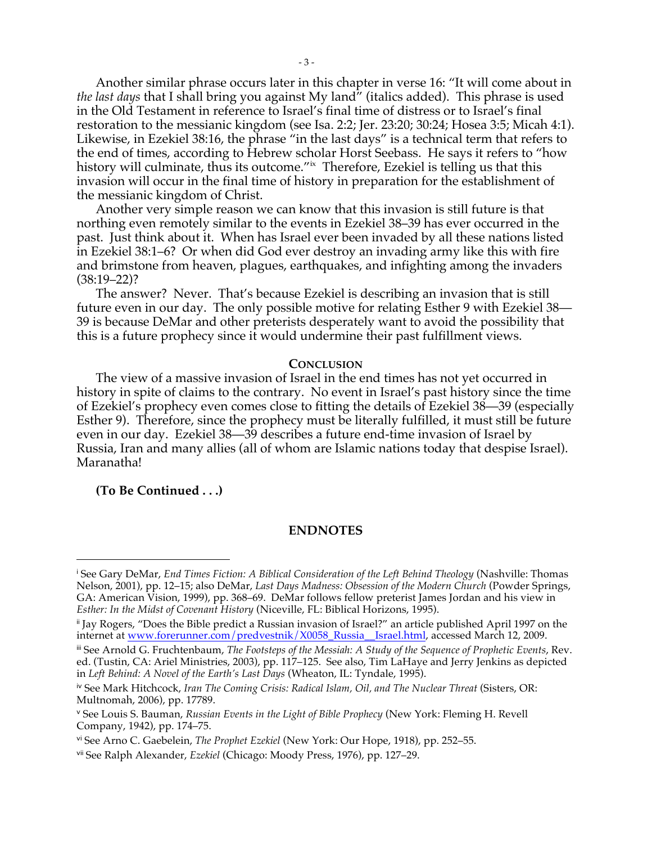Another similar phrase occurs later in this chapter in verse 16: "It will come about in *the last days* that I shall bring you against My land" (italics added). This phrase is used in the Old Testament in reference to Israel's final time of distress or to Israel's final restoration to the messianic kingdom (see Isa. 2:2; Jer. 23:20; 30:24; Hosea 3:5; Micah 4:1). Likewise, in Ezekiel 38:16, the phrase "in the last days" is a technical term that refers to the end of times, according to Hebrew scholar Horst Seebass. He says it refers to "how history will culminate, thus its outcome."<sup>ix</sup> Therefore, Ezekiel is telling us that this invasion will occur in the final time of history in preparation for the establishment of the messianic kingdom of Christ.

Another very simple reason we can know that this invasion is still future is that northing even remotely similar to the events in Ezekiel 38–39 has ever occurred in the past. Just think about it. When has Israel ever been invaded by all these nations listed in Ezekiel 38:1–6? Or when did God ever destroy an invading army like this with fire and brimstone from heaven, plagues, earthquakes, and infighting among the invaders  $(38:19-22)?$ 

The answer? Never. That's because Ezekiel is describing an invasion that is still future even in our day. The only possible motive for relating Esther 9 with Ezekiel 38— 39 is because DeMar and other preterists desperately want to avoid the possibility that this is a future prophecy since it would undermine their past fulfillment views.

#### **CONCLUSION**

The view of a massive invasion of Israel in the end times has not yet occurred in history in spite of claims to the contrary. No event in Israel's past history since the time of Ezekiel's prophecy even comes close to fitting the details of Ezekiel 38—39 (especially Esther 9). Therefore, since the prophecy must be literally fulfilled, it must still be future even in our day. Ezekiel 38—39 describes a future end-time invasion of Israel by Russia, Iran and many allies (all of whom are Islamic nations today that despise Israel). Maranatha!

**(To Be Continued . . .)**

 $\overline{a}$ 

## **ENDNOTES**

<sup>i</sup> See Gary DeMar, *End Times Fiction: A Biblical Consideration of the Left Behind Theology* (Nashville: Thomas Nelson, 2001), pp. 12–15; also DeMar, *Last Days Madness: Obsession of the Modern Church* (Powder Springs, GA: American Vision, 1999), pp. 368–69. DeMar follows fellow preterist James Jordan and his view in *Esther: In the Midst of Covenant History* (Niceville, FL: Biblical Horizons, 1995).

ii Jay Rogers, "Does the Bible predict a Russian invasion of Israel?" an article published April 1997 on the internet at www.forerunner.com/predvestnik/X0058\_Russia\_Israel.html, accessed March 12, 2009.

iii See Arnold G. Fruchtenbaum, *The Footsteps of the Messiah: A Study of the Sequence of Prophetic Events*, Rev. ed. (Tustin, CA: Ariel Ministries, 2003), pp. 117–125. See also, Tim LaHaye and Jerry Jenkins as depicted in *Left Behind: A Novel of the Earth's Last Days* (Wheaton, IL: Tyndale, 1995).

iv See Mark Hitchcock, *Iran The Coming Crisis: Radical Islam, Oil, and The Nuclear Threat* (Sisters, OR: Multnomah, 2006), pp. 17789.

<sup>v</sup> See Louis S. Bauman, *Russian Events in the Light of Bible Prophecy* (New York: Fleming H. Revell Company, 1942), pp. 174–75.

vi See Arno C. Gaebelein, *The Prophet Ezekiel* (New York: Our Hope, 1918), pp. 252–55.

vii See Ralph Alexander, *Ezekiel* (Chicago: Moody Press, 1976), pp. 127–29.